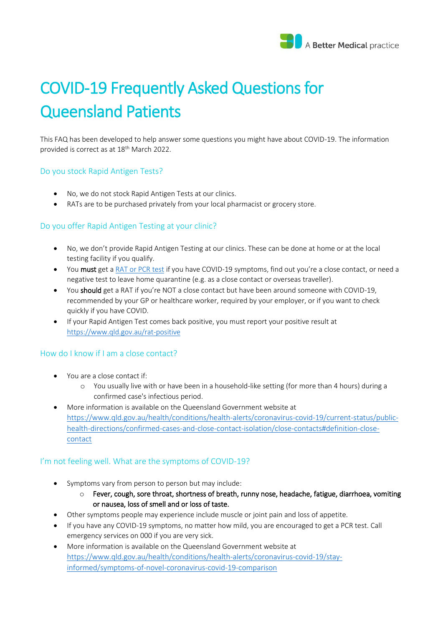

# COVID-19 Frequently Asked Questions for Queensland Patients

This FAQ has been developed to help answer some questions you might have about COVID-19. The information provided is correct as at 18<sup>th</sup> March 2022.

#### Do you stock Rapid Antigen Tests?

- No, we do not stock Rapid Antigen Tests at our clinics.
- RATs are to be purchased privately from your local pharmacist or grocery store.

# Do you offer Rapid Antigen Testing at your clinic?

- No, we don't provide Rapid Antigen Testing at our clinics. These can be done at home or at the local testing facility if you qualify.
- You must get a [RAT or PCR test](https://www.qld.gov.au/health/conditions/health-alerts/coronavirus-covid-19/stay-informed/testing-and-fever-clinics) if you have COVID-19 symptoms, find out you're a close contact, or need a negative test to leave home quarantine (e.g. as a close contact or overseas traveller).
- You should get a RAT if you're NOT a close contact but have been around someone with COVID-19, recommended by your GP or healthcare worker, required by your employer, or if you want to check quickly if you have COVID.
- If your Rapid Antigen Test comes back positive, you must report your positive result at <https://www.qld.gov.au/rat-positive>

# How do I know if I am a close contact?

- You are a close contact if:
	- o You usually live with or have been in a household-like setting (for more than 4 hours) during a confirmed case's infectious period.
- More information is available on the Queensland Government website at [https://www.qld.gov.au/health/conditions/health-alerts/coronavirus-covid-19/current-status/public](https://www.qld.gov.au/health/conditions/health-alerts/coronavirus-covid-19/current-status/public-health-directions/confirmed-cases-and-close-contact-isolation/close-contacts#definition-close-contact)[health-directions/confirmed-cases-and-close-contact-isolation/close-contacts#definition-close](https://www.qld.gov.au/health/conditions/health-alerts/coronavirus-covid-19/current-status/public-health-directions/confirmed-cases-and-close-contact-isolation/close-contacts#definition-close-contact)[contact](https://www.qld.gov.au/health/conditions/health-alerts/coronavirus-covid-19/current-status/public-health-directions/confirmed-cases-and-close-contact-isolation/close-contacts#definition-close-contact)

# I'm not feeling well. What are the symptoms of COVID-19?

- Symptoms vary from person to person but may include:
	- o Fever, cough, sore throat, shortness of breath, runny nose, headache, fatigue, diarrhoea, vomiting or nausea, loss of smell and or loss of taste.
- Other symptoms people may experience include muscle or joint pain and loss of appetite.
- If you have any COVID-19 symptoms, no matter how mild, you are encouraged to get a PCR test. Call emergency services on 000 if you are very sick.
- More information is available on the Queensland Government website at [https://www.qld.gov.au/health/conditions/health-alerts/coronavirus-covid-19/stay](https://www.qld.gov.au/health/conditions/health-alerts/coronavirus-covid-19/stay-informed/symptoms-of-novel-coronavirus-covid-19-comparison)[informed/symptoms-of-novel-coronavirus-covid-19-comparison](https://www.qld.gov.au/health/conditions/health-alerts/coronavirus-covid-19/stay-informed/symptoms-of-novel-coronavirus-covid-19-comparison)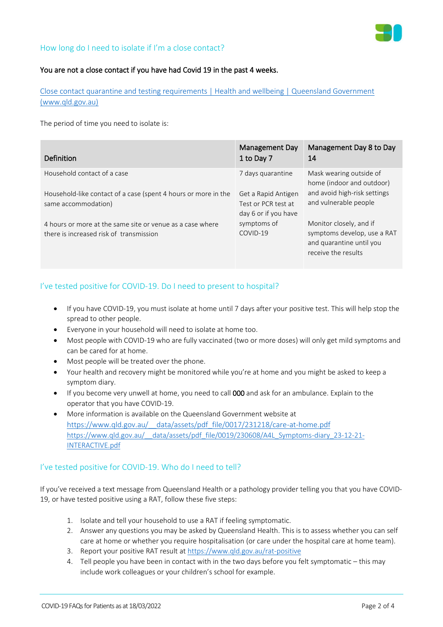

# How long do I need to isolate if I'm a close contact?

#### You are not a close contact if you have had Covid 19 in the past 4 weeks.

[Close contact quarantine and testing requirements | Health and wellbeing | Queensland Government](https://www.qld.gov.au/health/conditions/health-alerts/coronavirus-covid-19/current-status/public-health-directions/confirmed-cases-and-close-contacts/close-contacts)  [\(www.qld.gov.au\)](https://www.qld.gov.au/health/conditions/health-alerts/coronavirus-covid-19/current-status/public-health-directions/confirmed-cases-and-close-contacts/close-contacts)

The period of time you need to isolate is:

| Definition                                                     | Management Day<br>1 to Day 7 | Management Day 8 to Day<br>14                        |
|----------------------------------------------------------------|------------------------------|------------------------------------------------------|
| Household contact of a case                                    | 7 days quarantine            | Mask wearing outside of<br>home (indoor and outdoor) |
| Household-like contact of a case (spent 4 hours or more in the | Get a Rapid Antigen          | and avoid high-risk settings                         |
| same accommodation)                                            | Test or PCR test at          | and vulnerable people                                |
|                                                                | day 6 or if you have         |                                                      |
| 4 hours or more at the same site or venue as a case where      | symptoms of                  | Monitor closely, and if                              |
| there is increased risk of transmission                        | COVID-19                     | symptoms develop, use a RAT                          |
|                                                                |                              | and quarantine until you                             |
|                                                                |                              | receive the results                                  |

# I've tested positive for COVID-19. Do I need to present to hospital?

- If you have COVID-19, you must isolate at home until 7 days after your positive test. This will help stop the spread to other people.
- Everyone in your household will need to isolate at home too.
- Most people with COVID-19 who are fully vaccinated (two or more doses) will only get mild symptoms and can be cared for at home.
- Most people will be treated over the phone.
- Your health and recovery might be monitored while you're at home and you might be asked to keep a symptom diary.
- If you become very unwell at home, you need to call 000 and ask for an ambulance. Explain to the operator that you have COVID-19.
- More information is available on the Queensland Government website at [https://www.qld.gov.au/\\_\\_data/assets/pdf\\_file/0017/231218/care-at-home.pdf](https://www.qld.gov.au/__data/assets/pdf_file/0017/231218/care-at-home.pdf) [https://www.qld.gov.au/\\_\\_data/assets/pdf\\_file/0019/230608/A4L\\_Symptoms-diary\\_23-12-21-](https://www.qld.gov.au/__data/assets/pdf_file/0019/230608/A4L_Symptoms-diary_23-12-21-INTERACTIVE.pdf) [INTERACTIVE.pdf](https://www.qld.gov.au/__data/assets/pdf_file/0019/230608/A4L_Symptoms-diary_23-12-21-INTERACTIVE.pdf)

#### I've tested positive for COVID-19. Who do I need to tell?

If you've received a text message from Queensland Health or a pathology provider telling you that you have COVID-19, or have tested positive using a RAT, follow these five steps:

- 1. Isolate and tell your household to use a RAT if feeling symptomatic.
- 2. Answer any questions you may be asked by Queensland Health. This is to assess whether you can self care at home or whether you require hospitalisation (or care under the hospital care at home team).
- 3. Report your positive RAT result at<https://www.qld.gov.au/rat-positive>
- 4. Tell people you have been in contact with in the two days before you felt symptomatic this may include work colleagues or your children's school for example.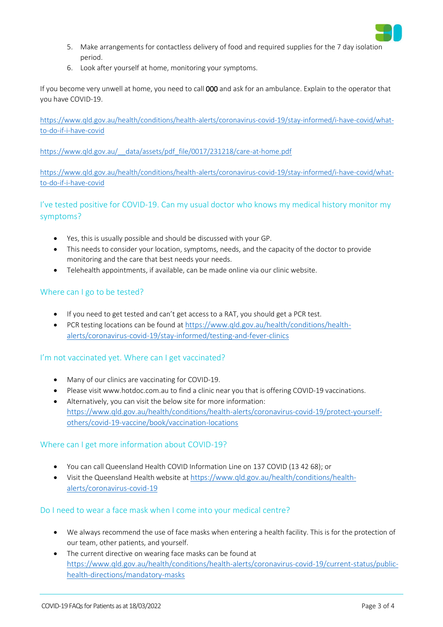

- 5. Make arrangements for contactless delivery of food and required supplies for the 7 day isolation period.
- 6. Look after yourself at home, monitoring your symptoms.

If you become very unwell at home, you need to call 000 and ask for an ambulance. Explain to the operator that you have COVID-19.

[https://www.qld.gov.au/health/conditions/health-alerts/coronavirus-covid-19/stay-informed/i-have-covid/what](https://www.qld.gov.au/health/conditions/health-alerts/coronavirus-covid-19/stay-informed/i-have-covid/what-to-do-if-i-have-covid)[to-do-if-i-have-covid](https://www.qld.gov.au/health/conditions/health-alerts/coronavirus-covid-19/stay-informed/i-have-covid/what-to-do-if-i-have-covid)

[https://www.qld.gov.au/\\_\\_data/assets/pdf\\_file/0017/231218/care-at-home.pdf](https://www.qld.gov.au/__data/assets/pdf_file/0017/231218/care-at-home.pdf)

[https://www.qld.gov.au/health/conditions/health-alerts/coronavirus-covid-19/stay-informed/i-have-covid/what](https://www.qld.gov.au/health/conditions/health-alerts/coronavirus-covid-19/stay-informed/i-have-covid/what-to-do-if-i-have-covid)[to-do-if-i-have-covid](https://www.qld.gov.au/health/conditions/health-alerts/coronavirus-covid-19/stay-informed/i-have-covid/what-to-do-if-i-have-covid)

I've tested positive for COVID-19. Can my usual doctor who knows my medical history monitor my symptoms?

- Yes, this is usually possible and should be discussed with your GP.
- This needs to consider your location, symptoms, needs, and the capacity of the doctor to provide monitoring and the care that best needs your needs.
- Telehealth appointments, if available, can be made online via our clinic website.

# Where can I go to be tested?

- If you need to get tested and can't get access to a RAT, you should get a PCR test.
- PCR testing locations can be found at [https://www.qld.gov.au/health/conditions/health](https://www.qld.gov.au/health/conditions/health-alerts/coronavirus-covid-19/stay-informed/testing-and-fever-clinics)[alerts/coronavirus-covid-19/stay-informed/testing-and-fever-clinics](https://www.qld.gov.au/health/conditions/health-alerts/coronavirus-covid-19/stay-informed/testing-and-fever-clinics)

# I'm not vaccinated yet. Where can I get vaccinated?

- Many of our clinics are vaccinating for COVID-19.
- Please visi[t www.hotdoc.com.au](http://www.hotdoc.com.au/) to find a clinic near you that is offering COVID-19 vaccinations.
- Alternatively, you can visit the below site for more information: [https://www.qld.gov.au/health/conditions/health-alerts/coronavirus-covid-19/protect-yourself](https://www.qld.gov.au/health/conditions/health-alerts/coronavirus-covid-19/protect-yourself-others/covid-19-vaccine/book/vaccination-locations)[others/covid-19-vaccine/book/vaccination-locations](https://www.qld.gov.au/health/conditions/health-alerts/coronavirus-covid-19/protect-yourself-others/covid-19-vaccine/book/vaccination-locations)

#### Where can I get more information about COVID-19?

- You can call Queensland Health COVID Information Line on [137 COVID \(13 42 68\);](sip:1800%20671%20738) or
- Visit the Queensland Health website at [https://www.qld.gov.au/health/conditions/health](https://www.qld.gov.au/health/conditions/health-alerts/coronavirus-covid-19)[alerts/coronavirus-covid-19](https://www.qld.gov.au/health/conditions/health-alerts/coronavirus-covid-19)

#### Do I need to wear a face mask when I come into your medical centre?

- We always recommend the use of face masks when entering a health facility. This is for the protection of our team, other patients, and yourself.
- The current directive on wearing face masks can be found at [https://www.qld.gov.au/health/conditions/health-alerts/coronavirus-covid-19/current-status/public](https://www.qld.gov.au/health/conditions/health-alerts/coronavirus-covid-19/current-status/public-health-directions/mandatory-masks)[health-directions/mandatory-masks](https://www.qld.gov.au/health/conditions/health-alerts/coronavirus-covid-19/current-status/public-health-directions/mandatory-masks)